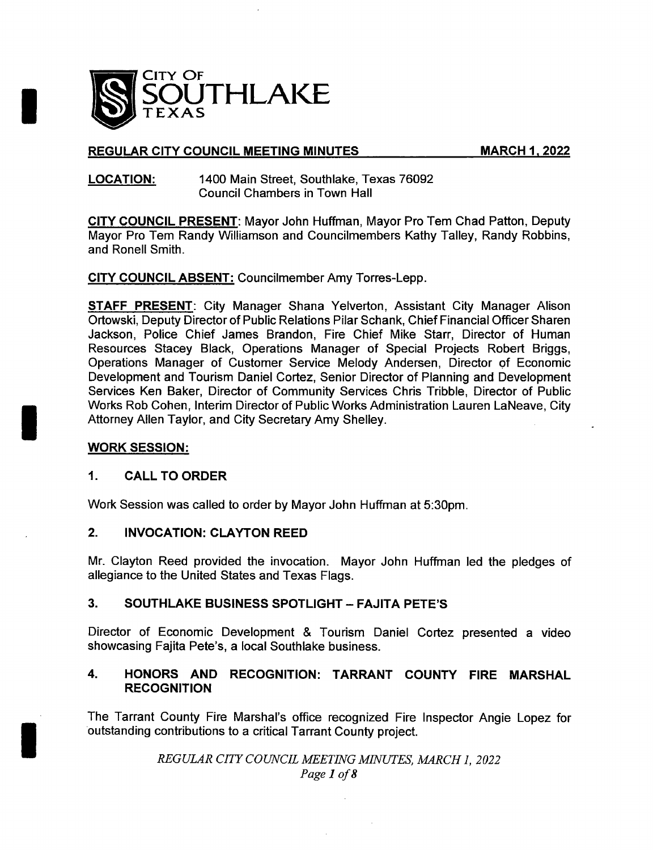

# REGULAR CITY COUNCIL MEETING MINUTES MARCH 1, 2022

### LOCATION: 1400 Main Street, Southlake, Texas 76092 Council Chambers in Town Hall

CITY COUNCIL PRESENT: Mayor John Huffman, Mayor Pro Tem Chad Patton, Deputy Mayor Pro Tem Randy Williamson and Councilmembers Kathy Talley, Randy Robbins, and Ronell Smith.

CITY COUNCIL ABSENT: Councilmember Amy Torres- Lepp.

STAFF PRESENT: City Manager Shana Yelverton, Assistant City Manager Alison Ortowski, Deputy Director of Public Relations Pilar Schank, Chief Financial Officer Sharen Jackson, Police Chief James Brandon, Fire Chief Mike Starr, Director of Human Resources Stacey Black, Operations Manager of Special Projects Robert Briggs, Operations Manager of Customer Service Melody Andersen, Director of Economic Development and Tourism Daniel Cortez, Senior Director of Planning and Development Services Ken Baker, Director of Community Services Chris Tribble, Director of Public Works Rob Cohen, Interim Director of Public Works Administration Lauren LaNeave, City Attorney Allen Taylor, and City Secretary Amy Shelley.

# WORK SESSION:

## 1. CALL TO ORDER

Work Session was called to order by Mayor John Huffman at 5: 30pm.

# 2. INVOCATION: CLAYTON REED

Mr. Clayton Reed provided the invocation. Mayor John Huffman led the pledges of allegiance to the United States and Texas Flags.

## 3. SOUTHLAKE BUSINESS SPOTLIGHT - FAJITA PETE'S

Director of Economic Development & Tourism Daniel Cortez presented <sup>a</sup> video showcasing Fajita Pete's, a local Southlake business.

# 4. HONORS AND RECOGNITION: TARRANT COUNTY FIRE MARSHAL RECOGNITION

The Tarrant County Fire Marshal's office recognized Fire Inspector Angie Lopez for outstanding contributions to a critical Tarrant County project.

> REGULAR CITY COUNCIL MEETING MINUTES, MARCH 1, 2022 Page <sup>1</sup> of <sup>8</sup>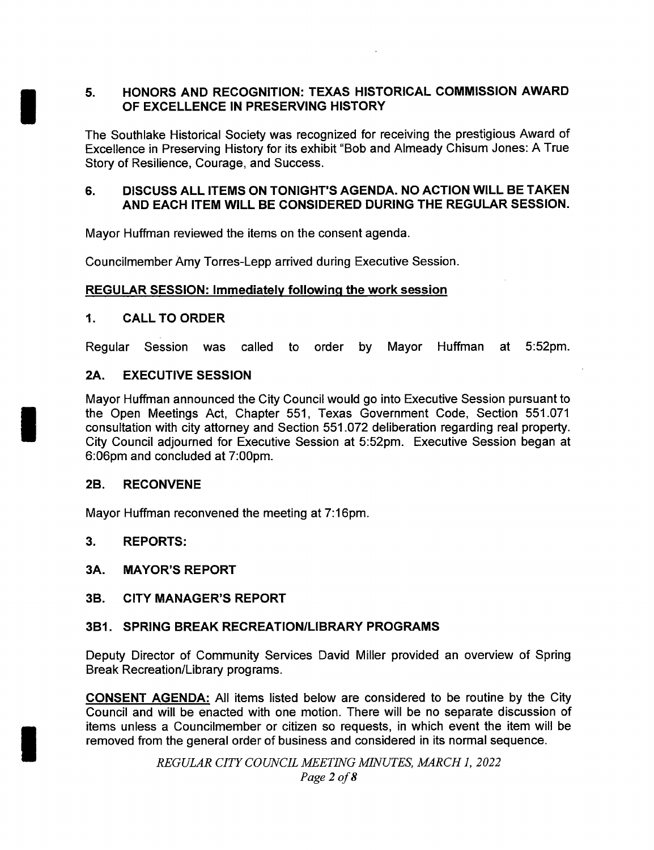# 5. HONORS AND RECOGNITION: TEXAS HISTORICAL COMMISSION AWARD OF EXCELLENCE IN PRESERVING HISTORY

The Southlake Historical Society was recognized for receiving the prestigious Award of Excellence in Preserving History for its exhibit " Bob and Almeady Chisum Jones: A True Story of Resilience, Courage, and Success.

# 6. DISCUSS ALL ITEMS ON TONIGHT'S AGENDA. NO ACTION WILL BE TAKEN AND EACH ITEM WILL BE CONSIDERED DURING THE REGULAR SESSION.

Mayor Huffman reviewed the items on the consent agenda.

Councilmember Amy Torres- Lepp arrived during Executive Session.

# REGULAR SESSION: Immediately following the work session

# 1. CALL TO ORDER

Regular Session was called to order by Mayor Huffman at 5:52pm.

# 2A. EXECUTIVE SESSION

Mayor Huffman announced the City Council would go into Executive Session pursuant to the Open Meetings Act, Chapter 551, Texas Government Code, Section 551. 071 consultation with city attorney and Section 551. 072 deliberation regarding real property. City Council adjourned for Executive Session at 5: 52pm. Executive Session began at 6: 06pm and concluded at 7: 00pm.

## 2B. RECONVENE

Mayor Huffman reconvened the meeting at 7:16pm.

## 3. REPORTS:

## 3A. MAYOR'S REPORT

# 3B. CITY MANAGER'S REPORT

# 3B1. SPRING BREAK RECREATION/LIBRARY PROGRAMS

Deputy Director of Community Services David Miller provided an overview of Spring Break Recreation/Library programs.

CONSENT AGENDA: All items listed below are considered to be routine by the City Council and will be enacted with one motion. There will be no separate discussion of items unless a Councilmember or citizen so requests, in which event the item will be removed from the general order of business and considered in its normal sequence.

> REGULAR CITY COUNCIL MEETING MINUTES, MARCH 1, 2022 Page <sup>2</sup> of <sup>8</sup>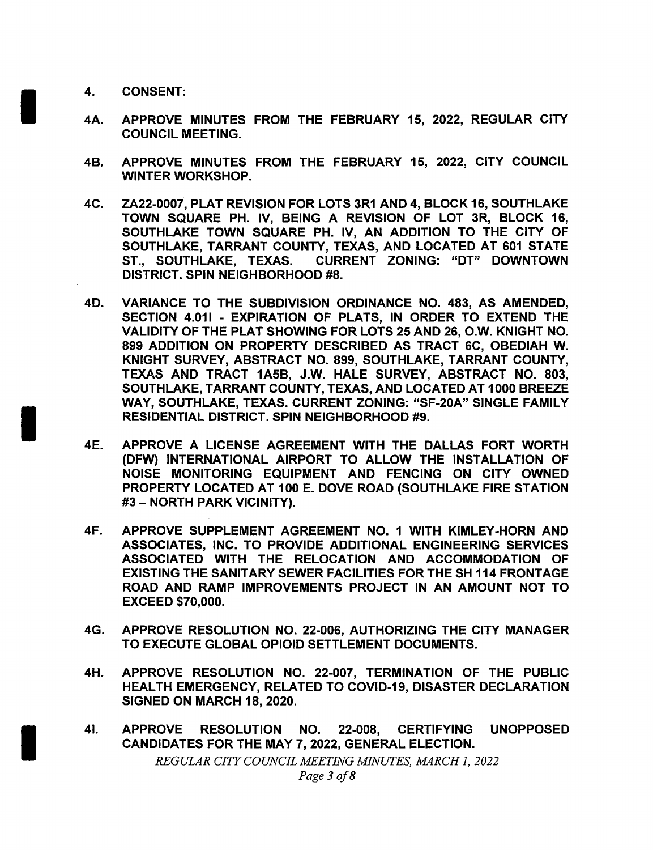- 4. CONSENT:
- 4A. APPROVE MINUTES FROM THE FEBRUARY 15, 2022, REGULAR CITY COUNCIL MEETING.
- 4B. APPROVE MINUTES FROM THE FEBRUARY 15, 2022, CITY COUNCIL WINTER WORKSHOP.
- 4C. ZA22- 0007, PLAT REVISION FOR LOTS 3R1 AND 4, BLOCK 16, SOUTHLAKE TOWN SQUARE PH. IV, BEING A REVISION OF LOT 3R, BLOCK 16, SOUTHLAKE TOWN SQUARE PH. IV, AN ADDITION TO THE CITY OF SOUTHLAKE, TARRANT COUNTY, TEXAS, AND LOCATED. AT 601 STATE ST., SOUTHLAKE, TEXAS. CURRENT ZONING: " DT" DOWNTOWN DISTRICT. SPIN NEIGHBORHOOD #8.
- 4D. VARIANCE TO THE SUBDIVISION ORDINANCE NO. 483, AS AMENDED, SECTION 4.011 - EXPIRATION OF PLATS, IN ORDER TO EXTEND THE VALIDITY OF THE PLAT SHOWING FOR LOTS 25 AND 26, O. W. KNIGHT NO. 899 ADDITION ON PROPERTY DESCRIBED AS TRACT 6C, OBEDIAH W. KNIGHT SURVEY, ABSTRACT NO. 899, SOUTHLAKE, TARRANT COUNTY, TEXAS AND TRACT 1A5B, J.W. HALE SURVEY, ABSTRACT NO. 803, SOUTHLAKE, TARRANT COUNTY, TEXAS, AND LOCATED AT 1000 BREEZE WAY, SOUTHLAKE, TEXAS. CURRENT ZONING: "SF-20A" SINGLE FAMILY RESIDENTIAL DISTRICT. SPIN NEIGHBORHOOD #9.
- 4E. APPROVE A LICENSE AGREEMENT WITH THE DALLAS FORT WORTH DFW) INTERNATIONAL AIRPORT TO ALLOW THE INSTALLATION OF NOISE MONITORING EQUIPMENT AND FENCING ON CITY OWNED PROPERTY LOCATED AT 100 E. DOVE ROAD ( SOUTHLAKE FIRE STATION 3— NORTH PARK VICINITY).
- 4F. APPROVE SUPPLEMENT AGREEMENT NO. 1 WITH KIMLEY- HORN AND ASSOCIATES, INC. TO PROVIDE ADDITIONAL ENGINEERING SERVICES ASSOCIATED WITH THE RELOCATION AND ACCOMMODATION OF EXISTING THE SANITARY SEWER FACILITIES FOR THE SH 114 FRONTAGE ROAD AND RAMP IMPROVEMENTS PROJECT IN AN AMOUNT NOT TO **EXCEED \$70,000.**
- 4G. APPROVE RESOLUTION NO. 22- 006, AUTHORIZING THE CITY MANAGER TO EXECUTE GLOBAL OPIOID SETTLEMENT DOCUMENTS.
- 4H. APPROVE RESOLUTION NO. 22-007, TERMINATION OF THE PUBLIC HEALTH EMERGENCY, RELATED TO COVID-19, DISASTER DECLARATION SIGNED ON MARCH 18, 2020.
- 41. APPROVE RESOLUTION NO. 22-008, CERTIFYING UNOPPOSED CANDIDATES FOR THE MAY 7, 2022, GENERAL ELECTION. REGULAR CITY COUNCIL MEETING MINUTES, MARCH 1, 2022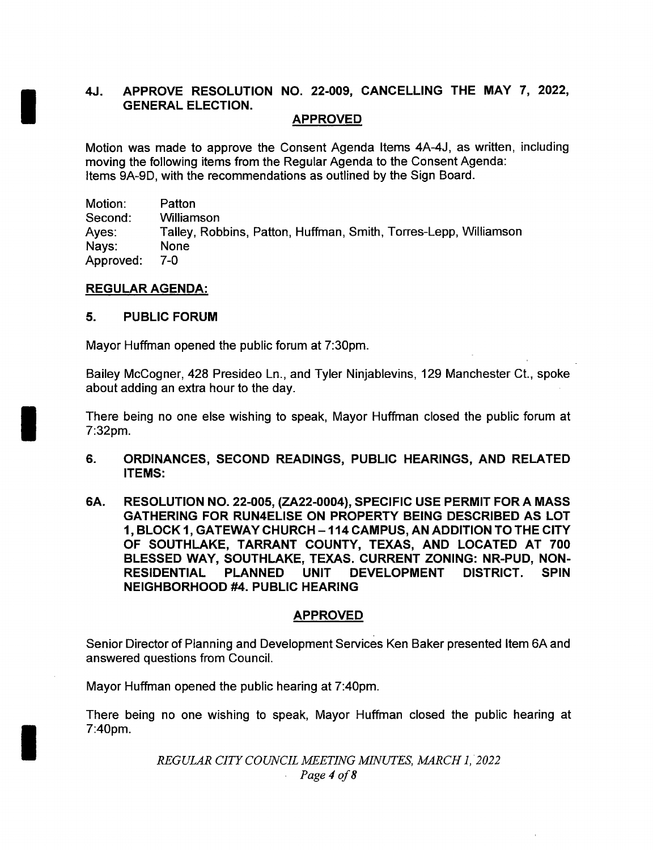# 4J. APPROVE RESOLUTION NO. 22-009, CANCELLING THE MAY 7, 2022, GENERAL ELECTION.

# APPROVED

Motion was made to approve the Consent Agenda Items 4A-4J, as written, including moving the following items from the Regular Agenda to the Consent Agenda: Items 9A-9D, with the recommendations as outlined by the Sign Board.

Motion: Patton Second: Williamson Ayes: Talley, Robbins, Patton, Huffman, Smith, Torres-Lepp, Williamson<br>Navs: None Nays: Approved: 7-0

### REGULAR AGENDA:

## 5. PUBLIC FORUM

Mayor Huffman opened the public forum at 7: 30pm.

Bailey McCogner, 428 Presideo Ln., and Tyler Ninjablevins, 129 Manchester Ct., spoke about adding an extra hour to the day.

There being no one else wishing to speak, Mayor Huffman closed the public forum at 7: 32pm.

- 6. ORDINANCES, SECOND READINGS, PUBLIC HEARINGS, AND RELATED ITEMS:
- 6A. RESOLUTION NO. 22-005, (ZA22-0004), SPECIFIC USE PERMIT FOR A MASS GATHERING FOR RUN4ELISE ON PROPERTY BEING DESCRIBED AS LOT 1, BLOCK 1, GATEWAY CHURCH— 114 CAMPUS, AN ADDITION TO THE CITY OF SOUTHLAKE, TARRANT COUNTY, TEXAS, AND LOCATED AT 700 BLESSED WAY, SOUTHLAKE, TEXAS, CURRENT ZONING: NR-PUD, NON-RESIDENTIAL PLANNED UNIT DEVELOPMENT DISTRICT. SPIN NEIGHBORHOOD #4. PUBLIC HEARING

## APPROVED

Senior Director of Planning and Development Services Ken Baker presented Item 6A and answered questions from Council.

Mayor Huffman opened the public hearing at 7: 40pm.

There being no one wishing to speak, Mayor Huffman closed the public hearing at 7: 40pm.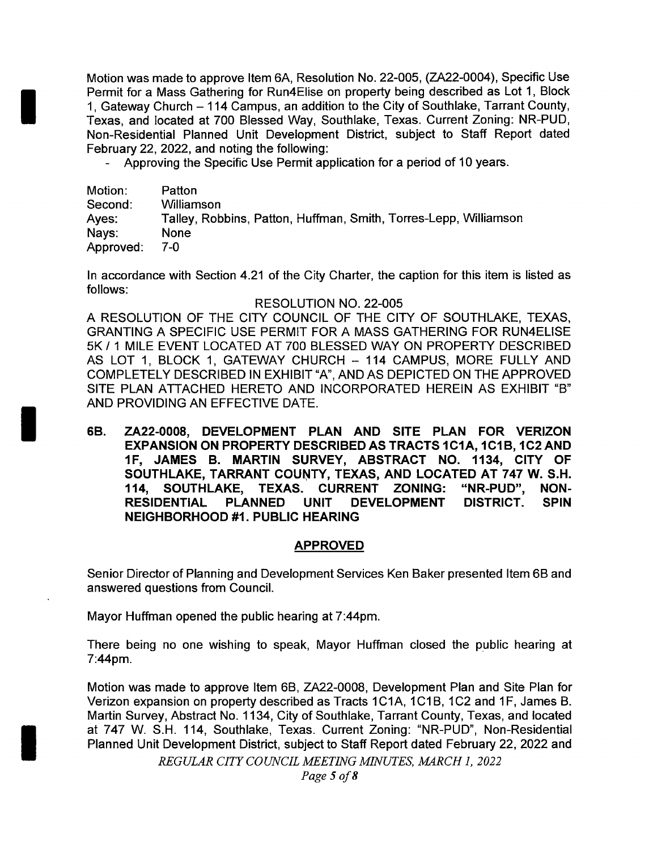Motion was made to approve Item 6A, Resolution No. 22-005, (ZA22-0004), Specific Use Permit for a Mass Gathering for Run4Elise on property being described as Lot 1, Block 1, Gateway Church — 114 Campus, an addition to the City of Southlake, Tarrant County, Texas, and located at 700 Blessed Way, Southlake, Texas. Current Zoning: NR-PUD, Non- Residential Planned Unit Development District, subject to Staff Report dated February 22, 2022, and noting the following:

Approving the Specific Use Permit application for a period of 10 years.

| Motion:   | Patton                                                           |
|-----------|------------------------------------------------------------------|
| Second:   | Williamson                                                       |
| Ayes:     | Talley, Robbins, Patton, Huffman, Smith, Torres-Lepp, Williamson |
| Nays:     | <b>None</b>                                                      |
| Approved: | 7-0.                                                             |

In accordance with Section 4.21 of the City Charter, the caption for this item is listed as follows:

### RESOLUTION NO. 22-005

A RESOLUTION OF THE CITY COUNCIL OF THE CITY OF SOUTHLAKE, TEXAS, GRANTING A SPECIFIC USE PERMIT FOR A MASS GATHERING FOR RUN4ELISE 5K / 1 MILE EVENT LOCATED AT 700 BLESSED WAY ON PROPERTY DESCRIBED AS LOT 1, BLOCK 1, GATEWAY CHURCH — 114 CAMPUS, MORE FULLY AND COMPLETELY DESCRIBED IN EXHIBIT "A", AND AS DEPICTED ON THE APPROVED SITE PLAN ATTACHED HERETO AND INCORPORATED HEREIN AS EXHIBIT "B" AND PROVIDING AN EFFECTIVE DATE.

6B. ZA22- 0008, DEVELOPMENT PLAN AND SITE PLAN FOR VERIZON EXPANSION ON PROPERTY DESCRIBED AS TRACTS 1C1A, 1C1B, 1C2 AND 1F, JAMES B. MARTIN SURVEY, ABSTRACT NO. 1134, CITY OF SOUTHLAKE, TARRANT COUNTY, TEXAS, AND LOCATED AT 747 W. S. H. 114, SOUTHLAKE, TEXAS. CURRENT ZONING: "NR-PUD", NON-RESIDENTIAL PLANNED UNIT DEVELOPMENT DISTRICT. SPIN NEIGHBORHOOD #1. PUBLIC HEARING

### APPROVED

Senior Director of Planning and Development Services Ken Baker presented Item 6B and answered questions from Council.

Mayor Huffman opened the public hearing at 7:44pm.

There being no one wishing to speak, Mayor Huffman closed the public hearing at 7:44pm.

Motion was made to approve Item 6B, ZA22- 0008, Development Plan and Site Plan for Verizon expansion on property described as Tracts 1C1A, 1C1B, 1C2 and 1F, James B. Martin Survey, Abstract No. 1134, City of Southlake, Tarrant County, Texas, and located at 747 W. S.H. 114, Southlake, Texas. Current Zoning: "NR-PUD", Non-Residential Planned Unit Development District, subject to Staff Report dated February 22, 2022 and

REGULAR CITY COUNCIL MEETING MINUTES, MARCH 1, 2022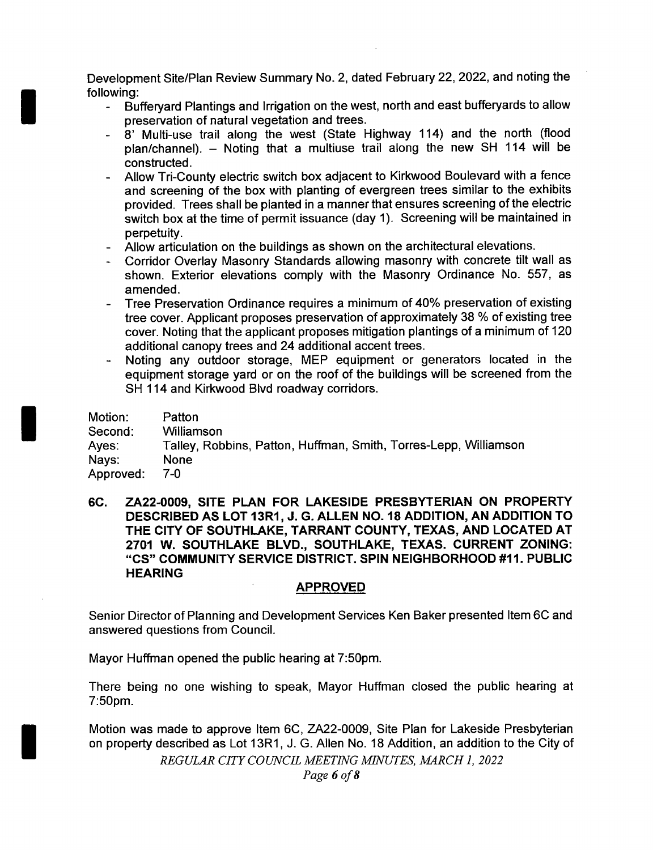Development Site/Plan Review Summary No. 2, dated February 22, 2022, and noting the following:

- Bufferyard Plantings and Irrigation on the west, north and east bufferyards to allow preservation of natural vegetation and trees.
- 8' Multi-use trail along the west (State Highway 114) and the north (flood plan/channel). - Noting that a multiuse trail along the new SH 114 will be constructed.
- Allow Tri-County electric switch box adjacent to Kirkwood Boulevard with a fence and screening of the box with planting of evergreen trees similar to the exhibits provided. Trees shall be planted in a manner that ensures screening of the electric switch box at the time of permit issuance (day 1). Screening will be maintained in perpetuity.
- Allow articulation on the buildings as shown on the architectural elevations.
- Corridor Overlay Masonry Standards allowing masonry with concrete tilt wall as shown. Exterior elevations comply with the Masonry Ordinance No. 557, as amended.
- Tree Preservation Ordinance requires a minimum of 40% preservation of existing tree cover. Applicant proposes preservation of approximately 38 % of existing tree cover. Noting that the applicant proposes mitigation plantings of a minimum of 120 additional canopy trees and 24 additional accent trees.
- Noting any outdoor storage, MEP equipment or generators located in the equipment storage yard or on the roof of the buildings will be screened from the SH 114 and Kirkwood Blvd roadway corridors.

| Motion:   | Patton                                                           |
|-----------|------------------------------------------------------------------|
| Second:   | Williamson                                                       |
| Ayes:     | Talley, Robbins, Patton, Huffman, Smith, Torres-Lepp, Williamson |
| Nays:     | None                                                             |
| Approved: | 7-0                                                              |

6C. ZA22- 0009, SITE PLAN FOR LAKESIDE PRESBYTERIAN ON PROPERTY DESCRIBED AS LOT 13R1, J. G. ALLEN NO. 18 ADDITION, AN ADDITION TO THE CITY OF SOUTHLAKE, TARRANT COUNTY, TEXAS, AND LOCATED AT 2701 W. SOUTHLAKE BLVD., SOUTHLAKE, TEXAS. CURRENT ZONING: "CS" COMMUNITY SERVICE DISTRICT. SPIN NEIGHBORHOOD #11. PUBLIC HEARING

### APPROVED

Senior Director of Planning and Development Services Ken Baker presented Item 6C and answered questions from Council.

Mayor Huffman opened the public hearing at 7:50pm.

There being no one wishing to speak, Mayor Huffman closed the public hearing at 7: 50pm.

Motion was made to approve Item 6C, ZA22- 0009, Site Plan for Lakeside Presbyterian on property described as Lot 13R1, J. G. Allen No. 18 Addition, an addition to the City of

REGULAR CITY COUNCIL MEETING MINUTES, MARCH 1, 2022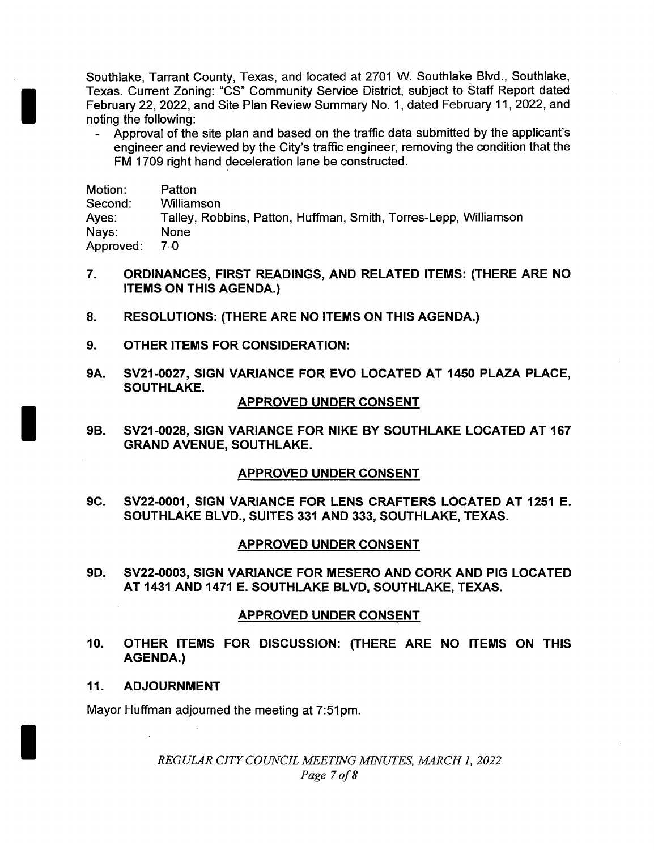Southlake, Tarrant County, Texas, and located at <sup>2701</sup> W. Southlake Blvd., Southlake, Texas. Current Zoning: "CS" Community Service District, subject to Staff Report dated February 22, 2022, and Site Plan Review Summary No. 1, dated February 11, 2022, and noting the following:

Approval of the site plan and based on the traffic data submitted by the applicant's engineer and reviewed by the City's traffic engineer, removing the condition that the FM 1709 right hand deceleration lane be constructed.

| Motion:   | Patton                                                           |
|-----------|------------------------------------------------------------------|
| Second:   | Williamson                                                       |
| Ayes:     | Talley, Robbins, Patton, Huffman, Smith, Torres-Lepp, Williamson |
| Nays:     | <b>None</b>                                                      |
| Approved: | 7-0                                                              |

- 7. ORDINANCES, FIRST READINGS, AND RELATED ITEMS: (THERE ARE NO ITEMS ON THIS AGENDA.)
- 8. RESOLUTIONS: (THERE ARE NO ITEMS ON THIS AGENDA.)
- 9. OTHER ITEMS FOR CONSIDERATION:
- 9A. SV21-0027, SIGN VARIANCE FOR EVO LOCATED AT 1450 PLAZA PLACE, SOUTHLAKE.

### APPROVED UNDER CONSENT

9B. SV21-0028, SIGN VARIANCE FOR NIKE BY SOUTHLAKE LOCATED AT 167 GRAND AVENUE, SOUTHLAKE.

### APPROVED UNDER CONSENT

9C. SV22- 0001, SIGN VARIANCE FOR LENS CRAFTERS LOCATED AT 1251 E. SOUTHLAKE BLVD., SUITES 331 AND 333, SOUTHLAKE, TEXAS.

### APPROVED UNDER CONSENT

9D. SV22- 0003, SIGN VARIANCE FOR MESERO AND CORK AND PIG LOCATED AT 1431 AND 1471 E. SOUTHLAKE BLVD, SOUTHLAKE, TEXAS.

#### APPROVED UNDER CONSENT

- 10. OTHER ITEMS FOR DISCUSSION: ( THERE ARE NO ITEMS ON THIS AGENDA.)
- 11. ADJOURNMENT

Mayor Huffman adjourned the meeting at 7:51pm.

REGULAR CITY COUNCIL MEETING MINUTES, MARCH 1, 2022 Page 7 of 8